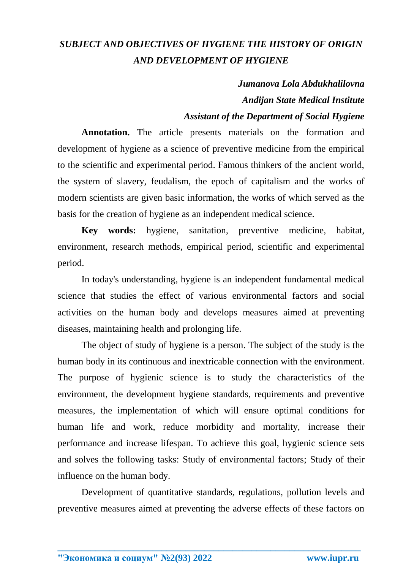## *SUBJECT AND OBJECTIVES OF HYGIENE THE HISTORY OF ORIGIN AND DEVELOPMENT OF HYGIENE*

## *Jumanova Lola Abdukhalilovna Andijan State Medical Institute*

## *Assistant of the Department of Social Hygiene*

**Annotation.** The article presents materials on the formation and development of hygiene as a science of preventive medicine from the empirical to the scientific and experimental period. Famous thinkers of the ancient world, the system of slavery, feudalism, the epoch of capitalism and the works of modern scientists are given basic information, the works of which served as the basis for the creation of hygiene as an independent medical science.

**Key words:** hygiene, sanitation, preventive medicine, habitat, environment, research methods, empirical period, scientific and experimental period.

In today's understanding, hygiene is an independent fundamental medical science that studies the effect of various environmental factors and social activities on the human body and develops measures aimed at preventing diseases, maintaining health and prolonging life.

The object of study of hygiene is a person. The subject of the study is the human body in its continuous and inextricable connection with the environment. The purpose of hygienic science is to study the characteristics of the environment, the development hygiene standards, requirements and preventive measures, the implementation of which will ensure optimal conditions for human life and work, reduce morbidity and mortality, increase their performance and increase lifespan. To achieve this goal, hygienic science sets and solves the following tasks: Study of environmental factors; Study of their influence on the human body.

Development of quantitative standards, regulations, pollution levels and preventive measures aimed at preventing the adverse effects of these factors on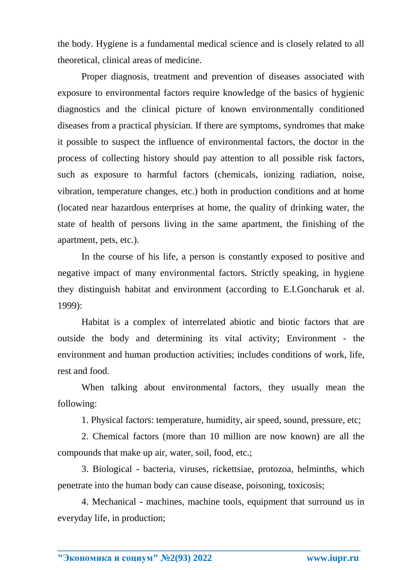the body. Hygiene is a fundamental medical science and is closely related to all theoretical, clinical areas of medicine.

Proper diagnosis, treatment and prevention of diseases associated with exposure to environmental factors require knowledge of the basics of hygienic diagnostics and the clinical picture of known environmentally conditioned diseases from a practical physician. If there are symptoms, syndromes that make it possible to suspect the influence of environmental factors, the doctor in the process of collecting history should pay attention to all possible risk factors, such as exposure to harmful factors (chemicals, ionizing radiation, noise, vibration, temperature changes, etc.) both in production conditions and at home (located near hazardous enterprises at home, the quality of drinking water, the state of health of persons living in the same apartment, the finishing of the apartment, pets, etc.).

In the course of his life, a person is constantly exposed to positive and negative impact of many environmental factors. Strictly speaking, in hygiene they distinguish habitat and environment (according to E.I.Goncharuk et al. 1999):

Habitat is a complex of interrelated abiotic and biotic factors that are outside the body and determining its vital activity; Environment - the environment and human production activities; includes conditions of work, life, rest and food.

When talking about environmental factors, they usually mean the following:

1. Physical factors: temperature, humidity, air speed, sound, pressure, etc;

2. Chemical factors (more than 10 million are now known) are all the compounds that make up air, water, soil, food, etc.;

3. Biological - bacteria, viruses, rickettsiae, protozoa, helminths, which penetrate into the human body can cause disease, poisoning, toxicosis;

4. Mechanical - machines, machine tools, equipment that surround us in everyday life, in production;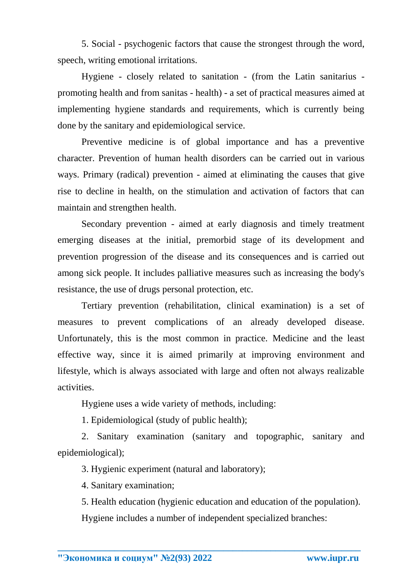5. Social - psychogenic factors that cause the strongest through the word, speech, writing emotional irritations.

Hygiene - closely related to sanitation - (from the Latin sanitarius promoting health and from sanitas - health) - a set of practical measures aimed at implementing hygiene standards and requirements, which is currently being done by the sanitary and epidemiological service.

Preventive medicine is of global importance and has a preventive character. Prevention of human health disorders can be carried out in various ways. Primary (radical) prevention - aimed at eliminating the causes that give rise to decline in health, on the stimulation and activation of factors that can maintain and strengthen health.

Secondary prevention - aimed at early diagnosis and timely treatment emerging diseases at the initial, premorbid stage of its development and prevention progression of the disease and its consequences and is carried out among sick people. It includes palliative measures such as increasing the body's resistance, the use of drugs personal protection, etc.

Tertiary prevention (rehabilitation, clinical examination) is a set of measures to prevent complications of an already developed disease. Unfortunately, this is the most common in practice. Medicine and the least effective way, since it is aimed primarily at improving environment and lifestyle, which is always associated with large and often not always realizable activities.

Hygiene uses a wide variety of methods, including:

1. Epidemiological (study of public health);

2. Sanitary examination (sanitary and topographic, sanitary and epidemiological);

3. Hygienic experiment (natural and laboratory);

4. Sanitary examination;

5. Health education (hygienic education and education of the population). Hygiene includes a number of independent specialized branches: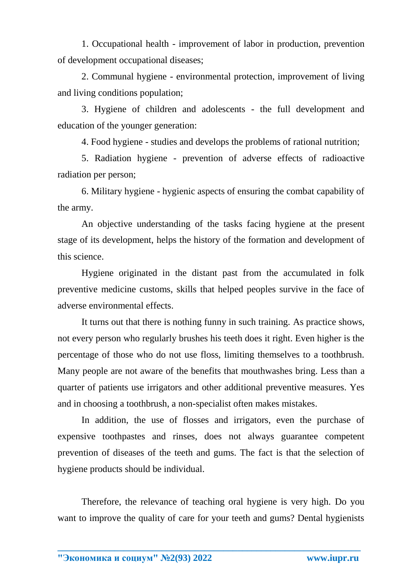1. Occupational health - improvement of labor in production, prevention of development occupational diseases;

2. Communal hygiene - environmental protection, improvement of living and living conditions population;

3. Hygiene of children and adolescents - the full development and education of the younger generation:

4. Food hygiene - studies and develops the problems of rational nutrition;

5. Radiation hygiene - prevention of adverse effects of radioactive radiation per person;

6. Military hygiene - hygienic aspects of ensuring the combat capability of the army.

An objective understanding of the tasks facing hygiene at the present stage of its development, helps the history of the formation and development of this science.

Hygiene originated in the distant past from the accumulated in folk preventive medicine customs, skills that helped peoples survive in the face of adverse environmental effects.

It turns out that there is nothing funny in such training. As practice shows, not every person who regularly brushes his teeth does it right. Even higher is the percentage of those who do not use floss, limiting themselves to a toothbrush. Many people are not aware of the benefits that mouthwashes bring. Less than a quarter of patients use irrigators and other additional preventive measures. Yes and in choosing a toothbrush, a non-specialist often makes mistakes.

In addition, the use of flosses and irrigators, even the purchase of expensive toothpastes and rinses, does not always guarantee competent prevention of diseases of the teeth and gums. The fact is that the selection of hygiene products should be individual.

Therefore, the relevance of teaching oral hygiene is very high. Do you want to improve the quality of care for your teeth and gums? Dental hygienists